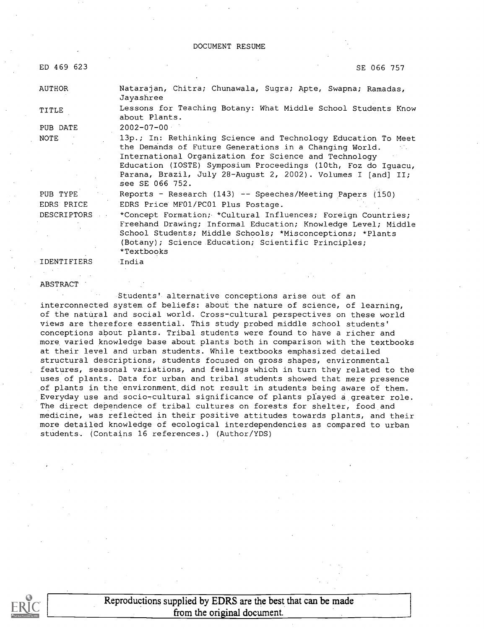#### DOCUMENT RESUME

| ED 469 623  | SE 066 757                                                                                                                                                                                                                                                                                                                                                |
|-------------|-----------------------------------------------------------------------------------------------------------------------------------------------------------------------------------------------------------------------------------------------------------------------------------------------------------------------------------------------------------|
| AUTHOR      | Natarajan, Chitra; Chunawala, Sugra; Apte, Swapna; Ramadas,<br>Jayashree                                                                                                                                                                                                                                                                                  |
| TITLE       | Lessons for Teaching Botany: What Middle School Students Know<br>about Plants.                                                                                                                                                                                                                                                                            |
| PUB DATE    | $2002 - 07 - 00$                                                                                                                                                                                                                                                                                                                                          |
| <b>NOTE</b> | 13p.; In: Rethinking Science and Technology Education To Meet<br>the Demands of Future Generations in a Changing World.<br><b>CONTRACTOR</b><br>International Organization for Science and Technology<br>Education (IOSTE) Symposium Proceedings (10th, Foz do Iquacu,<br>Parana, Brazil, July 28-August 2, 2002). Volumes I [and] II;<br>see SE 066 752. |
| PUB TYPE    | Reports - Research (143) -- Speeches/Meeting Papers (150)                                                                                                                                                                                                                                                                                                 |
| EDRS PRICE  | EDRS Price MF01/PC01 Plus Postage.                                                                                                                                                                                                                                                                                                                        |
| DESCRIPTORS | *Concept Formation; *Cultural Influences; Foreign Countries;<br>Freehand Drawing; Informal Education; Knowledge Level; Middle<br>School Students; Middle Schools; *Misconceptions; *Plants<br>(Botany); Science Education; Scientific Principles;<br>*Textbooks                                                                                           |
| IDENTIFIERS | India                                                                                                                                                                                                                                                                                                                                                     |

#### ABSTRACT

Students' alternative conceptions arise out of an interconnected system of beliefs: about the nature of science, of learning, of the natural and social world. Cross-cultural perspectives on these world views are therefore essential. This study probed middle school students' conceptions about plants. Tribal students were found to have a richer and more varied knowledge base about plants both in comparison with the textbooks at their level and urban students. While textbooks emphasized detailed structural descriptions, students focused on gross shapes, environmental features, seasonal variations, and feelings which in turn they related to the uses of plants. Data for urban and tribal students showed that mere presence of plants in the environment, did not result in students being aware of them. Everyday use and socio-cultural significance of plants played a greater role. The direct dependence of tribal cultures on forests for shelter, food and medicine, was reflected in their positive attitudes towards plants, and their more detailed knowledge of ecological interdependencies as compared to urban students. (Contains 16 references.) (Author/YDS)



Reproductions supplied by EDRS are the best that can be made from the original document.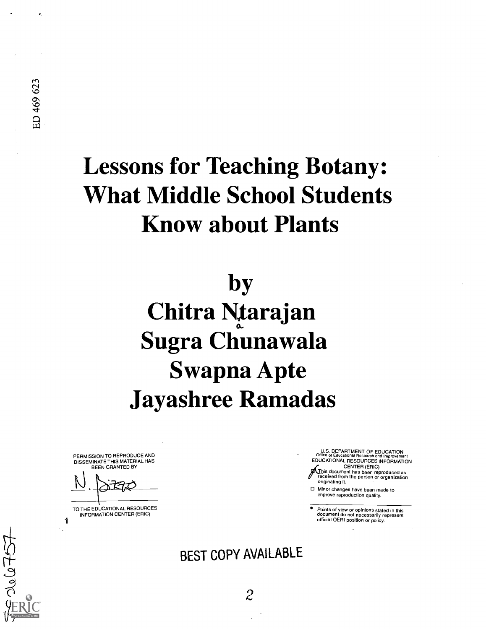# Lessons for Teaching Botany: What Middle School Students Know about Plants

by

Chitra Ntarajan Sugra Chunawala Swapna Apte Jayashree Ramadas

PERMISSION TO REPRODUCE AND DISSEMINATE THIS MATERIAL HAS BEEN GRANTED BY

TO THE EDUCATIONAL RESOURCES INFORMATION CENTER (ERIC)

1

FORDOFST

U.S. DEPARTMENT OF EDUCATION Office of Educational Research and Improvement EDUCATIONAL RESOURCES INFORMATION<br>CENTER (ERIC)<br>This document has been reproduced as<br>received from the person or organization originating it. Minor changes have been made to

improve reproduction quality.

Points of view or opinions stated in this document do not necessarily represent official OERI position or policy.

# BEST COPY AVAILABLE

2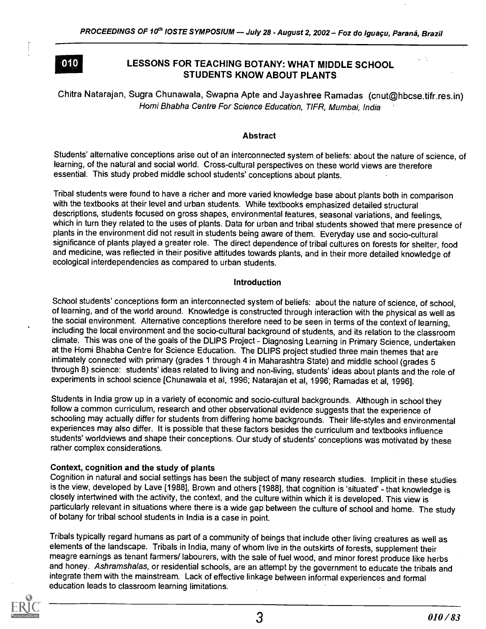

## LESSONS FOR TEACHING BOTANY: WHAT MIDDLE SCHOOL STUDENTS KNOW ABOUT PLANTS

Chitra Natarajan, Sugra Chunawala, Swapna Apte and Jayashree Ramadas (cnut@hbcse.tifr.res.in) Homi Bhabha Centre For Science Education, TIFR, Mumbai, India

#### Abstract

Students' alternative conceptions arise out of an interconnected system of beliefs: about the nature of science, of learning, of the natural and social world. Cross-cultural perspectives on these world views are therefore essential. This study probed middle school students' conceptions about plants.

Tribal students were found to have a richer and more varied knowledge base about plants both in comparison with the textbooks at their level and urban students. While textbooks emphasized detailed structural descriptions, students focused on gross shapes, environmental features, seasonal variations, and feelings, which in turn they related to the uses of plants. Data for urban and tribal students showed that mere presence of plants in the environment did not result in students being aware of them. Everyday use and socio-cultural significance of plants played a greater role. The direct dependence of tribal cultures on forests for shelter, food and medicine, was reflected in their positive attitudes towards plants, and in their more detailed knowledge of ecological interdependencies as compared to urban students.

#### **Introduction**

School students' conceptions form an interconnected system of beliefs: about the nature of science, of school, of learning, and of the world around. Knowledge is constructed through interaction with the physical as well as the social environment. Alternative conceptions therefore need to be seen in terms of the context of learning, including the local environment and the socio-cultural background of students, and its relation to the classroom climate. This was one of the goals of the DLIPS Project - Diagnosing Learning in Primary Science, undertaken at the Homi Bhabha Centre for Science Education. The DLIPS project studied three main themes that are intimately connected with primary (grades 1 through 4 in Maharashtra State) and middle school (grades 5 through 8) science: students' ideas related to living and non-living, students' ideas about plants and the role of experiments in school science [Chunawala et al, 1996; Natarajan et al, 1996; Ramadas et al, 1996].

Students in India grow up in a variety of economic and socio-cultural backgrounds. Although in school they follow a common curriculum, research and other observational evidence suggests that the experience of schooling may actually differ for students from differing home backgrounds. Their life-styles and environmental experiences may also differ. It is possible that these factors besides the curriculum and textbooks influence students' worldviews and shape their conceptions. Our study of students' conceptions was motivated by these rather complex considerations.

#### Context, cognition and the study of plants

Cognition in natural and social settings has been the subject of many research studies. Implicit in these studies is the view, developed by Lave [1988], Brown and others [1988], that cognition is 'situated' - that knowledge is closely intertwined with the activity, the context, and the culture within which it is developed. This view is particularly relevant in situations where there is a wide gap between the culture of school and home. The study of botany for tribal school students in India is a case in point.

Tribals typically regard humans as part of a community of beings that include other living creatures as well as elements of the landscape. Tribals in India, many of whom live in the outskirts of forests, supplement their meagre earnings as tenant farmers/ labourers, with the sale of fuel wood, and minor forest produce like herbs and honey. Ashramshalas, or residential schools, are an attempt by the government to educate the tribals and integrate them with the mainstream. Lack of effective linkage between informal experiences and formal education leads to classroom learning limitations.

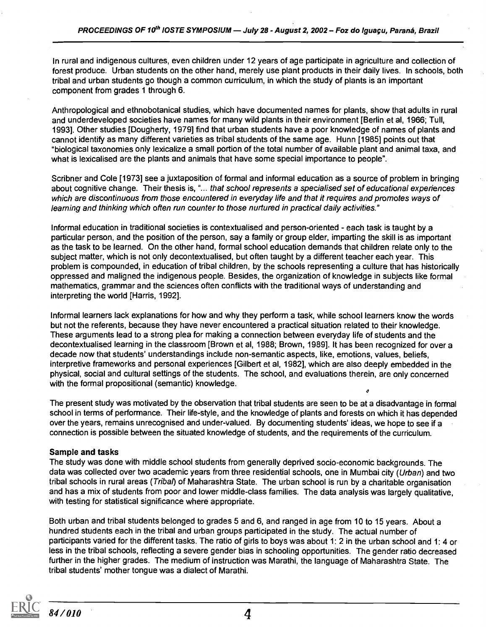In rural and indigenous cultures, even children under 12 years of age participate in agriculture and collection of forest produce. Urban students on the other hand, merely use plant products in their daily lives. In schools, both tribal and urban students go though a common curriculum, in which the study of plants is an important component from grades 1 through 6.

Anthropological and ethnobotanical studies, which have documented names for plants, show that adults in rural and underdeveloped societies have names for many wild plants in their environment [Berlin et al, 1966; Tull, 1993]. Other studies [Dougherty, 1979] find that urban students have a poor knowledge of names of plants and cannot identify as many different varieties as tribal students of the same age. Hunn [1985] points out that "biological taxonomies only lexicalize a small portion of the total number of available plant and animal taxa, and what is lexicalised are the plants and animals that have some special importance to people".

Scribner and Cole [1973] see a juxtaposition of formal and informal education as a source of problem in bringing about cognitive change. Their thesis is, "... that school represents a specialised set of educational experiences which are discontinuous from those encountered in everyday life and that it requires and promotes ways of learning and thinking which often run counter to those nurtured in practical daily activities."

Informal education in traditional societies is contextualised and person-oriented - each task is taught by a particular person, and the position of the person, say a family or group elder, imparting the skill is as important as the task to be learned. On the other hand, formal school education demands that children relate only to the subiect matter, which is not only decontextualised, but often taught by a different teacher each year. This problem is compounded, in education of tribal children, by the schools representing a culture that has historically oppressed and maligned the indigenous people. Besides, the organization of knowledge in subjects like formal mathematics, grammar and the sciences often conflicts with the traditional ways of understanding and interpreting the world [Harris, 1992].

Informal learners lack explanations for how and why they perform a task, while school learners know the words but not the referents, because they have never encountered a practical situation related to their knowledge. These arguments lead to a strong plea for making a connection between everyday life of students and the decontextualised learning in the classroom [Brown et al, 1988; Brown, 1989]. It has been recognized for over a decade now that students' understandings include non-semantic aspects, like, emotions, values, beliefs, interpretive frameworks and personal experiences [Gilbert et al, 1982], which are also deeply embedded in the physical, social and cultural settings of the students. The school, and evaluations therein, are only concerned with the formal propositional (semantic) knowledge. o

The present study was motivated by the observation that tribal students are seen to be at a disadvantage in formal school in terms of performance. Their life-style, and the knowledge of plants and forests on which it has depended over the years, remains unrecognised and under-valued. By documenting students' ideas, we hope to see if a connection is possible between the situated knowledge of students, and the requirements of the curriculum.

## Sample and tasks

The study was done with middle school students from generally deprived socio-economic backgrounds. The data was collected over two academic years from three residential schools, one in Mumbai city (Urban) and two tribal schools in rural areas (Tribal) of Maharashtra State. The urban school is run by a charitable organisation and has a mix of students from poor and lower middle-class families. The data analysis was largely qualitative, with testing for statistical significance where appropriate.

Both urban and tribal students belonged to grades 5 and 6, and ranged in age from 10 to 15 years. About a hundred students each in the tribal and urban groups participated in the study. The actual number of participants varied for the different tasks. The ratio of girls to boys was about 1: 2 in the urban school and 1: 4 or less in the tribal schools, reflecting a severe gender bias in schooling opportunities. The gender ratio decreased further in the higher grades. The medium of instruction was Marathi, the language of Maharashtra State. The tribal students' mother tongue was a dialect of Marathi.

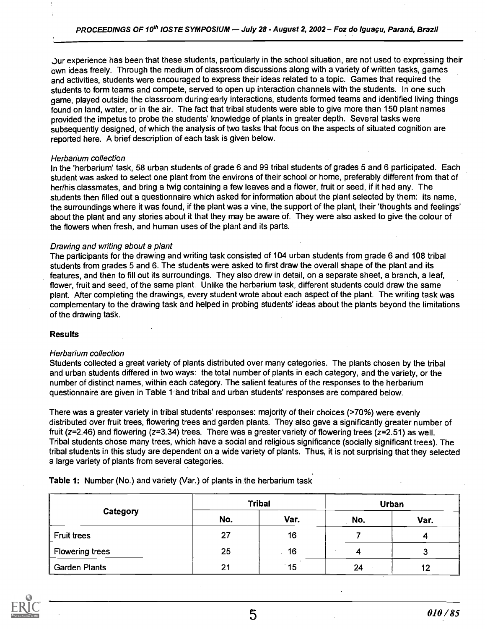Jur experience has been that these students, particularly in the school situation, are not used to expressing their own ideas freely. Through the medium of classroom discussions along with a variety of written tasks, games and activities, students were encouraged to express their ideas related to a topic. Games that required the students to form teams and compete, served to open up interaction channels with the students. In one such game, played outside the classroom during early interactions, students formed teams and identified living things found on land, water, or in the air. The fact that tribal students were able to give more than 150 plant names provided the impetus to probe the students' knowledge of plants in greater depth. Several tasks were subsequently designed, of which the analysis of two tasks that focus on the aspects of situated cognition are reported here. A brief description of each task is given below.

#### Herbarium collection

In the 'herbarium' task, 58 urban students of grade 6 and 99 tribal students of grades 5 and 6 participated. Each student was asked to select one plant from the environs of their school or home, preferably different from that of her/his classmates, and bring a twig containing a few leaves and a flower, fruit or seed, if it had any. The students then filled out a questionnaire which asked for information about the plant selected by them: its name, the surroundings where it was found, if the plant was a vine, the support of the plant, their 'thoughts and feelings' about the plant and any stories about it that they may be aware of. They were also asked to give the colour of the flowers when fresh, and human uses of the plant and its parts.

#### Drawing and writing about a plant

The participants for the drawing and writing task consisted of 104 urban students from grade 6 and 108 tribal students from grades 5 and 6. The students were asked to first draw the overall shape of the plant and its features, and then to fill out its surroundings. They also drew in detail, on a separate sheet, a branch, a leaf, flower, fruit and seed, of the same plant. Unlike the herbarium task, different students could draw the same plant. After completing the drawings, every student wrote about each aspect of the plant. The writing task was complementary to the drawing task and helped in probing students' ideas about the plants beyond the limitations of the drawing task.

#### Results

#### Herbarium collection

Students collected a great variety of plants distributed over many categories. The plants chosen by the tribal and urban students differed in two ways: the total number of plants in each category, and the variety, or the number of distinct names, within each category. The salient features of the responses to the herbarium questionnaire are given in Table 1 and tribal and urban students' responses are compared below.

There was a greater variety in tribal students' responses: majority of their choices (>70%) were evenly distributed over fruit trees, flowering trees and garden plants. They also gave a significantly greater number of fruit ( $z=2.46$ ) and flowering ( $z=3.34$ ) trees. There was a greater variety of flowering trees ( $z=2.51$ ) as well. Tribal students chose many trees, which have a social and religious significance (socially significant trees). The tribal students in this study are dependent on a wide variety of plants. Thus, it is not surprising that they selected a large variety of plants from several categories.

|                               | <b>Tribal</b> |      | <b>Urban</b> |      |
|-------------------------------|---------------|------|--------------|------|
| Category                      | No.           | Var. | No.          | Var. |
| <b>Fruit trees</b>            | 27            | 16   |              |      |
| <b>Flowering trees</b>        | 25            | 16   |              |      |
| <b>Garden Plants</b><br>_____ | 21            | 15   | 24           | 12   |

Table 1: Number (No.) and variety (Var.) of plants in the herbarium task

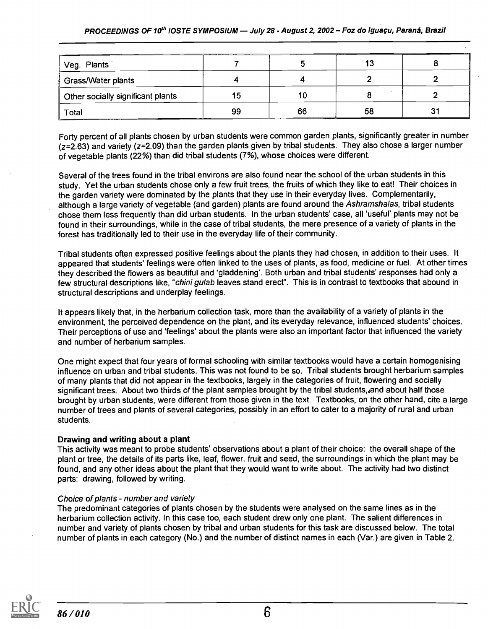| Veg. Plants                       |    |    |    |  |
|-----------------------------------|----|----|----|--|
| Grass/Water plants                |    |    |    |  |
| Other socially significant plants |    | 10 |    |  |
| Total                             | 99 | 66 | 58 |  |

Forty percent of all plants chosen by urban students were common garden plants, significantly greater in number  $(z=2.63)$  and variety ( $z=2.09$ ) than the garden plants given by tribal students. They also chose a larger number of vegetable plants (22%) than did tribal students (7%), whose choices were different.

Several of the trees found in the tribal environs are also found near the school of the urban students in this study. Yet the urban students chose only a few fruit trees, the fruits of which they like to eat! Their choices in the garden variety were dominated by the plants that they use in their everyday lives. Complementarily, although a large variety of vegetable (and garden) plants are found around the Ashramshalas, tribal students chose them less frequently than did urban students. In the urban students' case, all 'useful' plants may not be found in their surroundings, while in the case of tribal students, the mere presence of a variety of plants in the forest has traditionally led to their use in the everyday life of their community.

Tribal students often expressed positive feelings about the plants they had chosen, in addition to their uses. It appeared that students' feelings were often linked to the uses of plants, as food, medicine or fuel. At other times they described the flowers as beautiful and 'gladdening'. Both urban and tribal students' responses had only a few structural descriptions like, "chini gulab leaves stand erect". This is in contrast to textbooks that abound in structural descriptions and underplay feelings.

It appears likely that, in the herbarium collection task, more than the availability of a variety of plants in the environment, the perceived dependence on the plant, and its everyday relevance, influenced students' choices. Their perceptions of use and 'feelings' about the plants were also an important factor that influenced the variety and number of herbarium samples.

One might expect that four years of formal schooling with similar textbooks would have a certain homogenising influence on urban and tribal students. This was not found to be so. Tribal students brought herbarium samples of many plants that did not appear in the textbooks, largely in the categories of fruit, flowering and socially significant trees. About two thirds of the plant samples brought by the tribal students, and about half those brought by urban students, were different from those given in the text. Textbooks, on the other hand, cite a large number of trees and plants of several categories, possibly in an effort to cater to a majority of rural and urban students.

#### Drawing and writing about a plant

This activity was meant to probe students' observations about a plant of their choice: the overall shape of the plant or tree, the details of its parts like, leaf, flower, fruit and seed, the surroundings in which the plant may be found, and any other ideas about the plant that they would want to write about. The activity had two distinct parts: drawing, followed by writing.

#### Choice of plants - number and variety

The predominant categories of plants chosen by the students were analysed on the same lines as in the herbarium collection activity. In this case too, each student drew only one plant. The salient differences in number and variety of plants chosen by tribal and urban students for this task are discussed below. The total number of plants in each category (No.) and the number of distinct names in each (Var.) are given in Table 2.

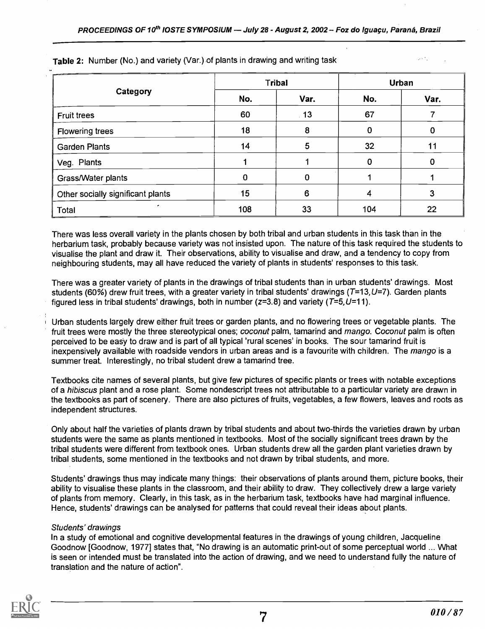|                                   | <b>Tribal</b> |       | <b>Urban</b> |      |
|-----------------------------------|---------------|-------|--------------|------|
| Category                          | No.           | Var.  | No.          | Var. |
| <b>Fruit trees</b>                | 60            | $-13$ | 67           |      |
| Flowering trees                   | 18            | 8     | 0            |      |
| <b>Garden Plants</b>              | 14            | 5     | 32           | 11   |
| Veg. Plants                       |               |       | 0            | 0    |
| Grass/Water plants                | 0             | 0     |              |      |
| Other socially significant plants | 15            | 6     | 4            |      |
| Total                             | 108           | 33    | 104          | 22   |

#### Table 2: Number (No.) and variety (Var.) of plants in drawing and writing task

There was less overall variety in the plants chosen by both tribal and urban students in this task than in the herbarium task, probably because variety was not insisted upon. The nature of this task required the students to visualise the plant and draw it. Their observations, ability to visualise and draw, and a tendency to copy from neighbouring students, may all have reduced the variety of plants in students' responses to this task.

There was a greater variety of plants in the drawings of tribal students than in urban students' drawings. Most students (60%) drew fruit trees, with a greater variety in tribal students' drawings ( $T=13, U=7$ ). Garden plants figured less in tribal students' drawings, both in number ( $z=3.8$ ) and variety ( $T=5, U=11$ ).

Urban students largely drew either fruit trees or garden plants, and no flowering trees or vegetable plants. The fruit trees were mostly the three stereotypical ones; *coconut* palm, tamarind and *mango. Coconut* palm is often perceived to be easy to draw and is part of all typical 'rural scenes' in books. The sour tamarind fruit is inexpensively available with roadside vendors in urban areas and is a favourite with children. The mango is a summer treat. Interestingly, no tribal student drew a tamarind tree.

Textbooks cite names of several plants, but give few pictures of specific plants or trees with notable exceptions of a hibiscus plant and a rose plant. Some nondescript trees not attributable to a particular variety are drawn in the textbooks as part of scenery. There are also pictures of fruits, vegetables, a few flowers, leaves and roots as independent structures.

Only about half the varieties of plants drawn by tribal students and about two-thirds the varieties drawn by urban students were the same as plants mentioned in textbooks. Most of the socially significant trees drawn by the tribal students were different from textbook ones. Urban students drew all the garden plant varieties drawn by tribal students, some mentioned in the textbooks and not drawn by tribal students, and more.

Students' drawings thus may indicate many things: their observations of plants around them, picture books, their ability to visualise these plants in the classroom, and their ability to draw. They collectively drew a large variety of plants from memory. Clearly, in this task, as in the herbarium task, textbooks have had marginal influence. Hence, students' drawings can be analysed for patterns that could reveal their ideas about plants.

#### Students' drawings

In a study of emotional and cognitive developmental features in the drawings of young children, Jacqueline Goodnow [Goodnow, 1977] states that, "No drawing is an automatic print-out of some perceptual world ... What is seen or intended must be translated into the action of drawing, and we need to understand fully the nature of translation and the nature of action".

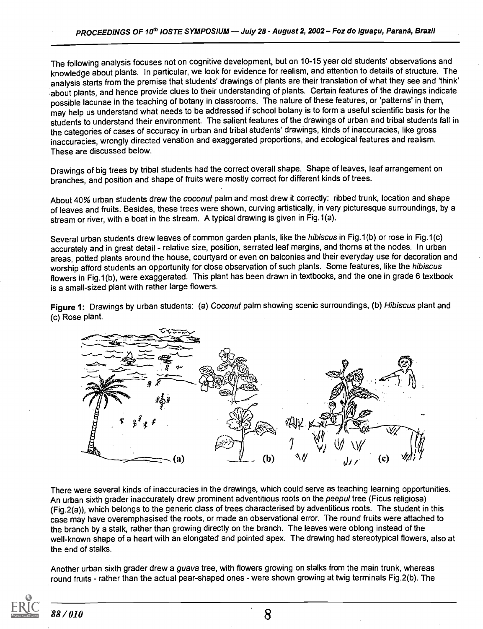The following analysis focuses not on cognitive development, but on 10-15 year old students' observations and knowledge about plants. In particular, we look for evidence for realism, and attention to details of structure. The analysis starts from the premise that students' drawings of plants are their translation of what they see and 'think' about plants, and hence provide clues to their understanding of plants. Certain features of the drawings indicate possible lacunae in the teaching of botany in classrooms. The nature of these features, or 'patterns' in them, may help us understand what needs to be addressed if school botany is to form a useful scientific basis for the students to understand their environment. The salient features of the drawings of urban and tribal students fall in the categories of cases of accuracy in urban and tribal students' drawings, kinds of inaccuracies, like gross inaccuracies, wrongly directed venation and exaggerated proportions, and ecological features and realism. These are discussed below.

Drawings of big trees by tribal students had the correct overall shape. Shape of leaves, leaf arrangement on branches, and position and shape of fruits were mostly correct for different kinds of trees.

About 40% urban students drew the coconut palm and most drew it correctly: ribbed trunk, location and shape of leaves and fruits. Besides, these trees were shown, curving artistically, in very picturesque surroundings, by a stream or river, with a boat in the stream. A typical drawing is given in Fig.1(a).

Several urban students drew leaves of common garden plants, like the hibiscus in Fig.1(b) or rose in Fig.1(c) accurately and in great detail - relative size, position, serrated leaf margins, and thorns at the nodes. In urban areas, potted plants around the house, courtyard or even on balconies and their everyday use for decoration and worship afford students an opportunity for close observation of such plants. Some features, like the hibiscus flowers in Fig.1(b), were exaggerated. This plant has been drawn in textbooks, and the one in grade 6 textbook is a small-sized plant with rather large flowers.

Figure 1: Drawings by urban students: (a) Coconut palm showing scenic surroundings, (b) Hibiscus plant and (c) Rose plant.



There were several kinds of inaccuracies in the drawings, which could serve as teaching learning opportunities. An urban sixth grader inaccurately drew prominent adventitious roots on the peepul tree (Ficus religiosa) (Fig.2(a)), which belongs to the generic class of trees characterised by adventitious roots. The student in this case may have overemphasised the roots, or made an observational error. The round fruits were attached to the branch by a stalk, rather than growing directly on the branch. The leaves were oblong instead of the well-known shape of a heart with an elongated and pointed apex. The drawing had stereotypical flowers, also at the end of stalks.

Another urban sixth grader drew a guava tree, with flowers growing on stalks from the main trunk, whereas round fruits - rather than the actual pear-shaped ones - were shown growing at twig terminals Fig.2(b). The

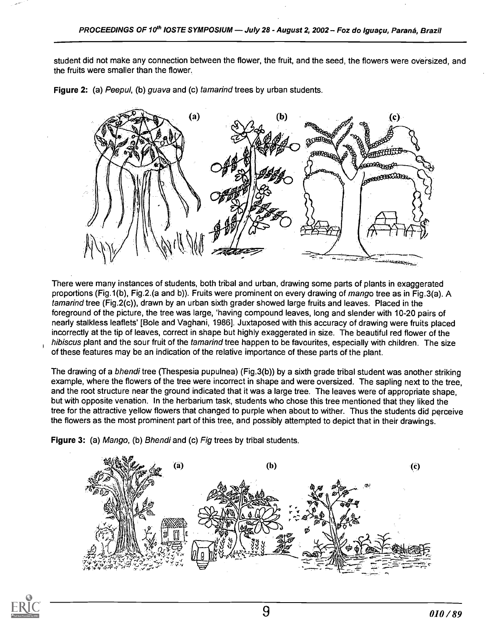student did not make any connection between the flower, the fruit, and the seed, the flowers were oversized, and the fruits were smaller than the flower.





There were many instances of students, both tribal and urban, drawing some parts of plants in exaggerated proportions (Fig.1(b), Fig.2.(a and b)). Fruits were prominent on every drawing of mango tree as in Fig.3(a). A tamarind tree (Fig.2(c)), drawn by an urban sixth grader showed large fruits and leaves. Placed in the foreground of the picture, the tree was large, 'having compound leaves, long and slender with 10-20 pairs of nearly stalkless leaflets' [Bole and Vaghani, 1986]. Juxtaposed with this accuracy of drawing were fruits placed incorrectly at the tip of leaves, correct in shape but highly exaggerated in size. The beautiful red flower of the hibiscus plant and the sour fruit of the tamarind tree happen to be favourites, especially with children. The size of these features may be an indication of the relative importance of these parts of the plant.

The drawing of a bhendi tree (Thespesia pupulnea) (Fig.3(b)) by a sixth grade tribal student was another striking example, where the flowers of the tree were incorrect in shape and were oversized. The sapling next to the tree, and the root structure near the ground indicated that it was a large tree. The leaves were of appropriate shape, but with opposite venation. In the herbarium task, students who chose this tree mentioned that they liked the tree for the attractive yellow flowers that changed to purple when about to wither. Thus the students did perceive the flowers as the most prominent part of this tree, and possibly attempted to depict that in their drawings.



Figure 3: (a) Mango, (b) Bhendi and (c) Fig trees by tribal students.

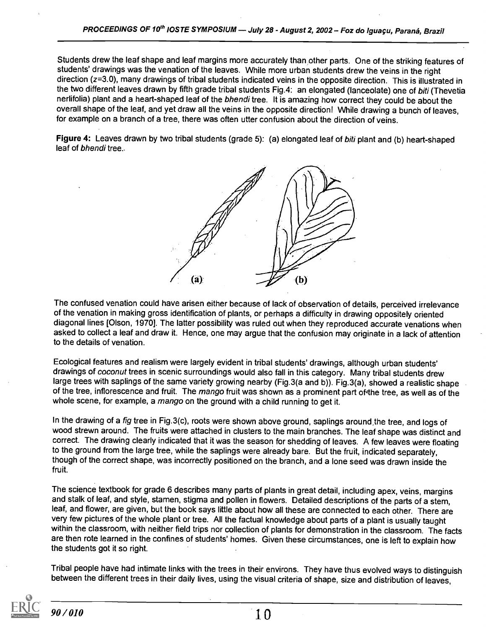Students drew the leaf shape and leaf margins more accurately than, other parts. One of the striking features of students' drawings was the venation of the leaves. While more urban students drew the veins in the right direction (z=3.0), many drawings of tribal students indicated veins in the opposite direction. This is illustrated in the two different leaves drawn by fifth grade tribal students Fig.4: an elongated (lanceolate) one of biti (Thevetia nerlifolia) plant and a heart-shaped leaf of the bhendi tree. It is amazing how correct they could be about the overall shape of the leaf, and yet draw all the veins in the opposite direction! While drawing a bunch of leaves, for example on a branch of a tree, there was often utter confusion about the direction of veins.

Figure 4: Leaves drawn by two tribal students (grade 5): (a) elongated leaf of biti plant and (b) heart-shaped leaf of bhendi tree..



The confused venation could have arisen either because of lack of observation of details, perceived irrelevance of the venation in making gross identification of plants, or perhaps a difficulty in drawing oppositely oriented diagonal lines [Olson, 1970]. The latter possibility was ruled out when they reproduced accurate venations when asked to collect a leaf and draw it. Hence, one may argue that the confusion may originate in a lack of attention to the details of venation.

Ecological features and realism were largely evident in tribal students' drawings, although urban students' drawings of coconut trees in scenic surroundings would also fall in this category. Many tribal students drew large trees with saplings of the same variety growing nearby (Fig.3(a and b)). Fig.3(a), showed a realistic shape of the tree, inflorescence and fruit. The mango fruit was shown as a prominent part of the tree, as well as of the whole scene, for example, a mango on the ground with a child running to get it.

In the drawing of a fig tree in Fig.3(c), roots were shown above ground, saplings around, the tree, and logs of wood strewn around. The fruits were attached in clusters to the main branches. The leaf shape was distinct and correct. The drawing clearly indicated that it was the season for shedding of leaves. A few leaves were floating to the ground from the large tree, while the saplings were already bare. But the fruit, indicated separately, though of the correct shape, was incorrectly positioned on the branch, and a lone seed was drawn inside the fruit.

The science textbook for grade 6 describes many parts of plants in great detail, including apex, veins, margins and stalk of leaf, and style, stamen, stigma and pollen in flowers. Detailed descriptions of the parts of a stem, leaf, and flower, are given, but the book says little about how all these are connected to each other. There are very few pictures of the whole plant or tree. All the factual knowledge about parts of a plant is usually taught within the classroom, with neither field trips nor collection of plants for demonstration in the classroom. The facts are then rote learned in the confines of students' homes. Given these circumstances, one is left to explain how the students got it so right.

Tribal people have had intimate links with the trees in their environs. They have thus evolved ways to distinguish between the different trees in their daily lives, using the visual criteria of shape, size and distribution of leaves,

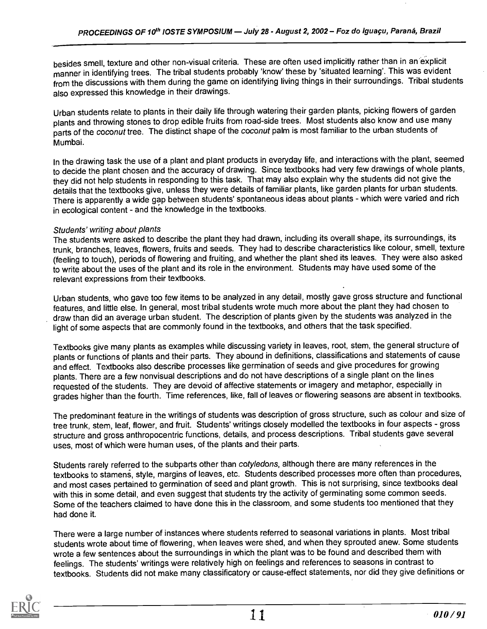besides smell, texture and other non-visual criteria. These are often used implicitly rather than in an'explicit manner in identifying trees. The tribal students probably 'know' these by 'situated learning'. This was evident from the discussions with them during the game on identifying living things in their surroundings. Tribal students also expressed this knowledge in their drawings.

Urban students relate to plants in their daily life through watering their garden plants, picking flowers of garden plants and throwing stones to drop edible fruits from road-side trees. Most students also know and use many parts of the coconut tree. The distinct shape of the coconut palm is most familiar to the urban students of Mumbai.

In the drawing task the use of a plant and plant products in everyday life, and interactions with the plant, seemed to decide the plant chosen and the accuracy of drawing. Since textbooks had very few drawings of whole plants, they did not help students in responding to this task. That may also explain why the students did not give the details that the textbooks give, unless they were details of familiar plants, like garden plants for urban students. There is apparently a wide gap between students' spontaneous ideas about plants - which were varied and rich in ecological content - and the knowledge in the textbooks.

#### Students' writing about plants

The students were asked to describe the plant they had drawn, including its overall shape, its surroundings, its trunk, branches, leaves, flowers, fruits and seeds. They had to describe characteristics like colour, smell, texture (feeling to touch), periods of flowering and fruiting, and whether the plant shed its leaves. They were also asked to write about the uses of the plant and its role in the environment. Students may have used some of the relevant expressions from their textbooks.

Urban students, who gave too few items to be analyzed in any detail, mostly gave gross structure and functional features, and little else. In general, most tribal students wrote much more about the plant they had chosen to draw than did an average urban student. The description of plants given by the students was analyzed in the light of some aspects that are commonly found in the textbooks, and others that the task specified.

Textbooks give many plants as examples while discussing variety in leaves, root, stem, the general structure of plants or functions of plants and their parts. They abound in definitions, classifications and statements of cause and effect. Textbooks also describe processes like germination of seeds and give procedures for growing plants. There are a few nonvisual descriptions and do not have descriptions of a single plant on the lines requested of the students. They are devoid of affective statements or imagery and metaphor, especially in grades higher than the fourth. Time references, like, fall of leaves or flowering seasons are absent in textbooks.

The predominant feature in the writings of students was description of gross structure, such as colour and size of tree trunk, stem, leaf, flower, and fruit. Students' writings closely modelled the textbooks in four aspects - gross structure and gross anthropocentric functions, details, and process descriptions. Tribal students gave several uses, most of which were human uses, of the plants and their parts.

Students rarely referred to the subparts other than cotyledons, although there are many references in the textbooks to stamens, style, margins of leaves, etc. Students described processes more often than procedures, and most cases pertained to germination of seed and plant growth. This is not surprising, since textbooks deal with this in some detail, and even suggest that students try the activity of germinating some common seeds. Some of the teachers claimed to have done this in the classroom, and some students too mentioned that they had done it.

There were a large number of instances where students referred to seasonal variations in plants. Most tribal students wrote about time of flowering, when leaves were shed, and when they sprouted anew. Some students wrote a few sentences about the surroundings in which the plant was to be found and described them with feelings. The students' writings were relatively high on feelings and references to seasons in contrast to textbooks. Students did not make many classificatory or cause-effect statements, nor did they give definitions or

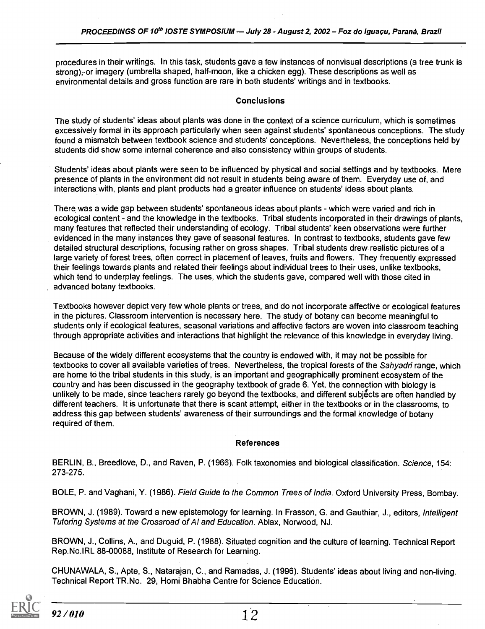procedures in their writings. In this task, students gave a few instances of nonvisual descriptions (a tree trunk is strong),-or imagery (umbrella shaped, half-moon, like a chicken egg). These descriptions as well as environmental details and gross function are rare in both students' writings and in textbooks.

#### **Conclusions**

The study of students' ideas about plants was done in the context of a science curriculum, which is sometimes excessively formal in its approach particularly when seen against students' spontaneous conceptions. The study found a mismatch between textbook science and students' conceptions. Nevertheless, the conceptions held by students did show some internal coherence and also consistency within groups of students.

Students' ideas about plants were seen to be influenced by physical and social settings and by textbooks. Mere presence of plants in the environment did not result in students being aware of them. Everyday use of, and interactions with, plants and plant products had a greater influence on students' ideas about plants.

There was a wide gap between students' spontaneous ideas about plants - which were varied and rich in ecological content - and the knowledge in the textbooks. Tribal students incorporated in their drawings of plants, many features that reflected their understanding of ecology. Tribal students' keen observations were further evidenced in the many instances they gave of seasonal features. In contrast to textbooks, students gave few detailed structural descriptions, focusing rather on gross shapes. Tribal students drew realistic pictures of a large variety of forest trees, often correct in placement of leaves, fruits and flowers. They frequently expressed their feelings towards plants and related their feelings about individual trees to their uses, unlike textbooks, which tend to underplay feelings. The uses, which the students gave, compared well with those cited in advanced botany textbooks.

Textbooks however depict very few whole plants or trees, and do not incorporate affective or ecological features in the pictures. Classroom intervention is necessary here. The study of botany can become meaningful to students only if ecological features, seasonal variations and affective factors are woven into classroom teaching through appropriate activities and interactions that highlight the relevance of this knowledge in everyday living.

Because of the widely different ecosystems that the country is endowed with, it may not be possible for textbooks to cover all available varieties of trees. Nevertheless, the tropical forests of the Sahyadri range, which are home to the tribal students in this study, is an important and geographically prominent ecosystem of the country and has been discussed in the geography textbook of grade 6. Yet, the connection with biology is unlikely to be made, since teachers rarely go beyond the textbooks, and different subjects are often handled by different teachers. It is unfortunate that there is scant attempt, either in the textbooks or in the classrooms, to address this gap between students' awareness of their surroundings and the formal knowledge of botany required of them.

## References

BERLIN, B., Breedlove, D., and Raven, P. (1966). Folk taxonomies and biological classification. Science, 154: 273-275.

BOLE, P. and Vaghani, Y. (1986). Field Guide to the Common Trees of India. Oxford University Press, Bombay.

BROWN, J. (1989). Toward a new epistemology for learning. In Frasson, G. and Gauthiar, J., editors, Intelligent Tutoring Systems at the Crossroad of Al and Education. Ablax, Norwood, NJ.

BROWN, J., Collins, A., and Duguid, P. (1988). Situated cognition and the culture of learning. Technical Report Rep.No.IRL 88-00088, Institute of Research for Learning.

CHUNAWALA, S., Apte, S., Natarajan, C., and Ramadas, J. (1996). Students' ideas about living and non-living. Technical Report TR.No. 29, Homi Bhabha Centre for Science Education.

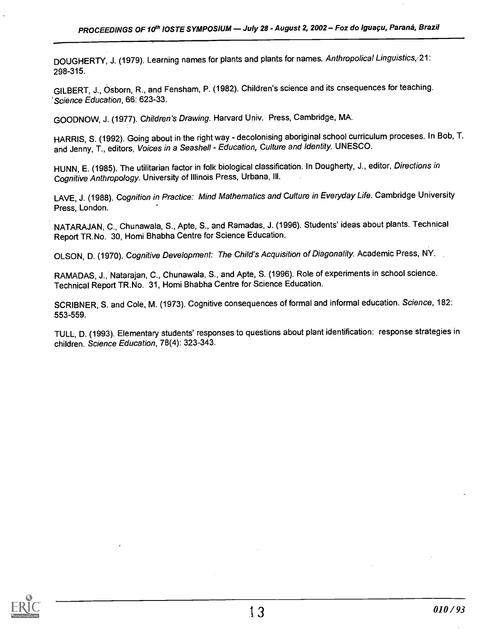DOUGHERTY, J. (1979). Learning names for plants and plants for names. Anthropolical Linguistics, 21: 298-315.

GILBERT, J., Osborn, R., and Fensham, P. (1982). Children's science and its cnsequences for teaching.  $S$ cience Education, 66: 623-33.

GOODNOW, J. (1977). Children's Drawing. Harvard Univ. Press, Cambridge, MA.

HARRIS, S. (1992). Going about in the right way - decolonising aboriginal school curriculum proceses. In Bob, T. and Jenny, T., editors, Voices in a Seashell - Education, Culture and Identity. UNESCO.

HUNN, E. (1985). The utilitarian factor in folk biological classification. In Dougherty, J., editor, Directions in Cognitive Anthropology. University of Illinois Press, Urbana, Ill.

LAVE, J. (1988). Cognition in Practice: Mind Mathematics and Culture in Everyday Life. Cambridge University Press, London.

NATARAJAN, C., Chunawala, S., Apte, S., and Ramadas, J. (1996). Students' ideas about plants. Technical Report TR.No. 30, Homi Bhabha Centre for Science Education.

OLSON, D. (1970). Cognitive Development: The Child's Acquisition of Diagonality. Academic Press, NY.

RAMADAS, J., Natarajan, C., Chunawala, S., and Apte, S. (1996). Role of experiments in school science. Technical Report TR.No. 31, Homi Bhabha Centre for Science Education.

SCRIBNER, S. and Cole, M. (1973). Cognitive consequences of formal and informal education. Science, 182: 553-559.

TULL, D. (1993). Elementary students' responses to questions about plant identification: response strategies in children. Science Education, 78(4): 323-343.